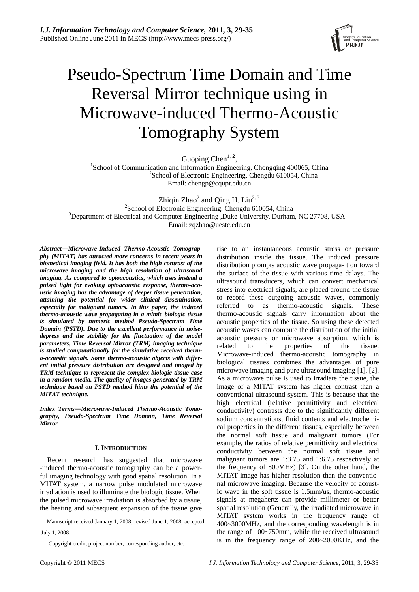

# Pseudo-Spectrum Time Domain and Time Reversal Mirror technique using in Microwave-induced Thermo-Acoustic Tomography System

Guoping Chen<sup>1, 2</sup>,  $\frac{1}{2}$ School of Communication and Information Engineering, Chongqing 400065, China<br><sup>2</sup>School of Electronic Engineering, Changdu 610054, China  $\textsuperscript{2}$ School of Electronic Engineering, Chengdu 610054, China Email: chengp@cqupt.edu.cn

Zhiqin Zhao<sup>2</sup> and Qing.H. Liu<sup>2, 3</sup> <sup>2</sup> School of Electronic Engineering, Chengdu 610054, China <sup>3</sup><br><sup>3</sup> Department of Electrical and Computer Engineering, Duke University, Durban <sup>3</sup>Department of Electrical and Computer Engineering ,Duke University, Durham, NC 27708, USA Email: zqzhao@uestc.edu.cn

*Abstract***—***Microwave-Induced Thermo-Acoustic Tomograpphy (MITAT) has attracted more concerns in recent years in biomedical imaging field. It has both the high contrast of the microwave imaging and the high resolution of ultrasound imaging. As compared to optoacoustics, which uses instead a pulsed light for evoking optoacoustic response, thermo-acoustic imaging has the advantage of deeper tissue penetration, attaining the potential for wider clinical dissemination, especially for malignant tumors. In this paper, the induced thermo-acoustic wave propagating in a mimic biologic tissue is simulated by numeric method Pseudo-Spectrum Time Domain (PSTD). Due to the excellent performance in noisedepress and the stability for the fluctuation of the model parameters, Time Reversal Mirror (TRM) imaging technique is studied computationally for the simulative received thermo-acoustic signals. Some thermo-acoustic objects with different initial pressure distribution are designed and imaged by TRM technique to represent the complex biologic tissue case in a random media. The quality of images generated by TRM technique based on PSTD method hints the potential of the MITAT technique.* 

*Index Terms***—***Microwave-Induced Thermo-Acoustic Tomography, Pseudo-Spectrum Time Domain, Time Reversal Mirror* 

# **I. INTRODUCTION**

Recent research has suggested that microwave -induced thermo-acoustic tomography can be a powerful imaging technology with good spatial resolution. In a MITAT system, a narrow pulse modulated microwave irradiation is used to illuminate the biologic tissue. When the pulsed microwave irradiation is absorbed by a tissue, the heating and subsequent expansion of the tissue give

Manuscript received January 1, 2008; revised June 1, 2008; accepted July 1, 2008.

Copyright credit, project number, corresponding author, etc.

rise to an instantaneous acoustic stress or pressure distribution inside the tissue. The induced pressure distribution prompts acoustic wave propaga- tion toward the surface of the tissue with various time dalays. The ultrasound transducers, which can convert mechanical stress into electrical signals, are placed around the tissue to record these outgoing acoustic waves, commonly referred to as thermo-acoustic signals. These thermo-acoustic signals carry information about the acoustic properties of the tissue. So using these detected acoustic waves can compute the distribution of the initial acoustic pressure or microwave absorption, which is related to the properties of the tissue. Microwave-induced thermo-acoustic tomography in biological tissues combines the advantages of pure microwave imaging and pure ultrasound imaging [1], [2]. As a microwave pulse is used to irradiate the tissue, the image of a MITAT system has higher contrast than a conventional ultrasound system. This is because that the high electrical (relative permittivity and electrical conductivity) contrasts due to the significantly different sodium concentrations, fluid contents and electrochemical properties in the different tissues, especially between the normal soft tissue and malignant tumors (For example, the ratios of relative permittivity and electrical conductivity between the normal soft tissue and malignant tumors are 1:3.75 and 1:6.75 respectively at the frequency of 800MHz) [3]. On the other hand, the MITAT image has higher resolution than the conventional microwave imaging. Because the velocity of acoustic wave in the soft tissue is 1.5mm/us, thermo-acoustic signals at megahertz can provide millimeter or better spatial resolution (Generally, the irradiated microwave in MITAT system works in the frequency range of 400~3000MHz, and the corresponding wavelength is in the range of 100~750mm, while the received ultrasound is in the frequency range of 200~2000KHz, and the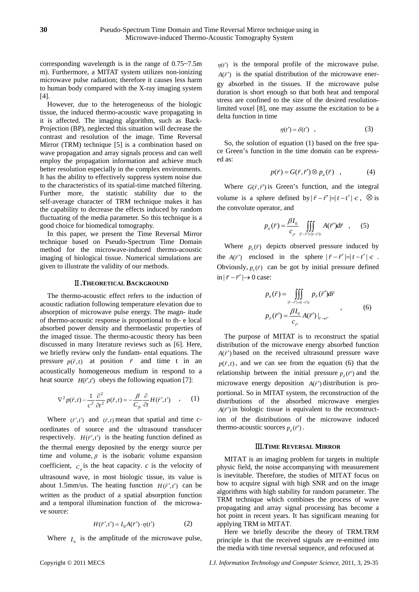corresponding wavelength is in the range of 0.75~7.5m m). Furthermore, a MITAT system utilizes non-ionizing microwave pulse radiation; therefore it causes less harm to human body compared with the X-ray imaging system [4].

However, due to the heterogeneous of the biologic tissue, the induced thermo-acoustic wave propagating in it is affected. The imaging algorithm, such as Back-Projection (BP), neglected this situation will decrease the contrast and resolution of the image. Time Reversal Mirror (TRM) technique [5] is a combination based on wave propagation and array signals process and can well employ the propagation information and achieve much better resolution especially in the complex environments. It has the ability to effectively suppress system noise due to the characteristics of its spatial-time matched filtering. Further more, the statistic stability due to the self-average character of TRM technique makes it has the capability to decrease the effects induced by random fluctuating of the media parameter. So this technique is a good choice for biomedical tomography.

In this paper, we present the Time Reversal Mirror technique based on Pseudo-Spectrum Time Domain method for the microwave-induced thermo-acoustic imaging of biological tissue. Numerical simulations are given to illustrate the validity of our methods.

#### Ⅱ**.THEORETICAL BACKGROUND**

The thermo-acoustic effect refers to the induction of acoustic radiation following temperature elevation due to absorption of microwave pulse energy. The magn- itude of thermo-acoustic response is proportional to th- e local absorbed power density and thermoelastic properties of the imaged tissue. The thermo-acoustic theory has been discussed in many literature reviews such as [6]. Here, we briefly review only the fundam- ental equations. The pressure  $p(\vec{r},t)$  at position  $\vec{r}$  and time t in an acoustically homogeneous medium in respond to a heat source  $H(\bar{r}', t')$  obeys the following equation [7]:

$$
\nabla^2 p(\vec{r}, t) - \frac{1}{c^2} \frac{\partial^2}{\partial t^2} p(\vec{r}, t) = -\frac{\beta}{C_p} \frac{\partial}{\partial t} H(\vec{r}', t') \quad , \quad (1)
$$

Where  $(\bar{r}', t')$  and  $(\bar{r}, t)$  mean that spatial and time coordinates of source and the ultrasound transducer respectively.  $H(\vec{r}', t')$  is the heating function defined as the thermal energy deposited by the energy source per time and volume,  $\beta$  is the isobaric volume expansion coefficient,  $C_p$  is the heat capacity. *c* is the velocity of ultrasound wave, in most biologic tissue, its value is about 1.5mm/us. The heating function  $H(\vec{r}', t')$  can be written as the product of a spatial absorption function and a temporal illumination function of the microwave source:

$$
H(\vec{r}',t') = I_0 A(\vec{r}') \cdot \eta(t')
$$
 (2)

Where  $I_0$  is the amplitude of the microwave pulse,

 $\eta(t')$  is the temporal profile of the microwave pulse.  $A(\vec{r})$  is the spatial distribution of the microwave energy absorbed in the tissues. If the microwave pulse duration is short enough so that both heat and temporal stress are confined to the size of the desired resolutionlimited voxel [8], one may assume the excitation to be a delta function in time

$$
\eta(t') = \delta(t') \quad , \tag{3}
$$

So, the solution of equation (1) based on the free space Green's function in the time domain can be expressed as:

$$
p(\vec{r}) = G(\vec{r}, \vec{r}') \otimes p_a(\vec{r}) \quad , \tag{4}
$$

Where  $G(\vec{r}, \vec{r}')$  is Green's function, and the integral volume is a sphere defined by $|\vec{r} - \vec{r}'| = |t - t'| \cdot c$ ,  $\otimes$  is the convolute operator, and

$$
p_a(\vec{r}) = \frac{\beta I_0}{c_{\rho}} \iiint\limits_{|\vec{r}-\vec{r}'| = |t-t'|c} A(\vec{r}') d\vec{r} , \qquad (5)
$$

Where  $p_a(\vec{r})$  depicts observed pressure induced by the  $A(\vec{r}')$  enclosed in the sphere  $|\vec{r} - \vec{r}'| = |t - t'| \cdot c$ . Obviously,  $p_a(\vec{r})$  can be got by initial pressure defined in  $|\vec{r} - \vec{r}'|$  → 0 case:

$$
p_a(\vec{r}) = \iiint\limits_{|\vec{r}-\vec{r}'|=|\vec{r}-\vec{r}'|c} p_{\delta}(\vec{r}')d\vec{r}
$$
  

$$
p_{\delta}(\vec{r}') = \frac{\beta I_0}{c_{\rho}} A(\vec{r}')|_{\vec{r}\to\vec{r}'}
$$
 (6)

The purpose of MITAT is to reconstruct the spatial distribution of the microwave energy absorbed function  $A(\vec{r})$  based on the received ultrasound pressure wave  $p(\vec{r},t)$ , and we can see from the equation (6) that the relationship between the initial pressure  $p_s(\vec{r})$  and the microwave energy deposition  $A(\vec{r})$  distribution is proportional. So in MITAT system, the reconstruction of the distributions of the absorbed microwave energies  $A(\vec{r})$  in biologic tissue is equivalent to the reconstruction of the distributions of the microwave induced thermo-acoustic sources  $p<sub>\delta</sub>(\vec{r}')$ .

#### Ⅲ**.TIME REVERSAL MIRROR**

MITAT is an imaging problem for targets in multiple physic field, the noise accompanying with measurement is inevitable. Therefore, the studies of MITAT focus on how to acquire signal with high SNR and on the image algorithms with high stability for random parameter. The TRM technique which combines the process of wave propagating and array signal processing has become a hot point in recent years. It has significant meaning for applying TRM in MITAT.

Here we briefly describe the theory of TRM.TRM principle is that the received signals are re-emitted into the media with time reversal sequence, and refocused at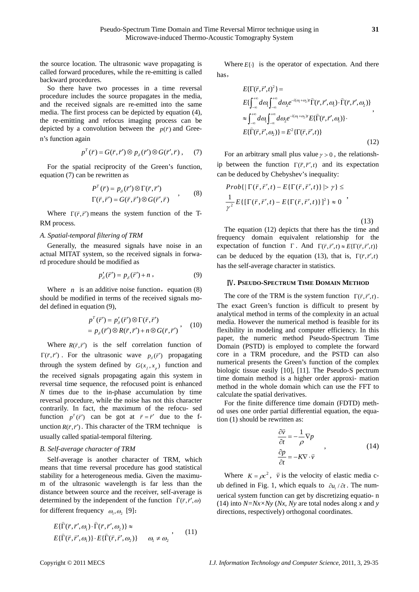the source location. The ultrasonic wave propagating is called forward procedures, while the re-emitting is called backward procedures.

So there have two processes in a time reversal procedure includes the source propagates in the media, and the received signals are re-emitted into the same media. The first process can be depicted by equation (4), the re-emitting and refocus imaging process can be depicted by a convolution between the  $p(\vec{r})$  and Green's function again

$$
p^{T}(\vec{r}) = G(\vec{r}, \vec{r}') \otimes p_{\delta}(\vec{r}') \otimes G(\vec{r}', \vec{r}) , \quad (7)
$$

For the spatial reciprocity of the Green's function, equation (7) can be rewritten as

$$
P^{T}(\vec{r}) = p_{\delta}(\vec{r}') \otimes \Gamma(\vec{r}, \vec{r}')
$$
  
\n
$$
\Gamma(\vec{r}, \vec{r}') = G(\vec{r}, \vec{r}') \otimes G(\vec{r}', \vec{r})
$$
\n(8)

Where  $\Gamma(\vec{r}, \vec{r}')$  means the system function of the T-RM process.

## *A. Spatial-temporal filtering of TRM*

Generally, the measured signals have noise in an actual MITAT system, so the received signals in forward procedure should be modified as

$$
p'_{\delta}(\vec{r}') = p_{\delta}(\vec{r}') + n \,, \tag{9}
$$

Where  $n$  is an additive noise function, equation (8) should be modified in terms of the received signals model defined in equation (9),

$$
p^{T}(\vec{r}') = p'_{\delta}(\vec{r}') \otimes \Gamma(\vec{r}, \vec{r}')
$$
  
=  $p_{\delta}(\vec{r}') \otimes R(\vec{r}, \vec{r}') + n \otimes G(\vec{r}, \vec{r}')$ , (10)

Where  $R(\vec{r}, \vec{r}')$  is the self correlation function of  $\Gamma(\vec{r}, \vec{r}')$ . For the ultrasonic wave  $p_s(\vec{r}')$  propagating through the system defined by  $G(x)$ ,  $x_n$  function and the received signals propagating again this system in reversal time sequence, the refocused point is enhanced *N* times due to the in-phase accumulation by time reversal procedure, while the noise has not this character contrarily. In fact, the maximum of the refocu- sed function  $p^T(\vec{r}')$  can be got at  $\vec{r} = \vec{r}'$  due to the function  $R(\vec{r}, \vec{r}')$ . This character of the TRM technique is usually called spatial-temporal filtering.

#### *B. Self-average character of TRM*

Self-average is another character of TRM, which means that time reversal procedure has good statistical stability for a heterogeneous media. Given the maximum of the ultrasonic wavelength is far less than the distance between source and the receiver, self-average is determined by the independent of the function  $\hat{\Gamma}(\vec{r}, \vec{r}', \omega)$ for different frequency  $\omega_1, \omega_2$  [9]:

$$
E\{\widehat{\Gamma}(\vec{r},\vec{r}',\omega_1)\cdot \widehat{\Gamma}(\vec{r},\vec{r}',\omega_2)\} \approx
$$
  

$$
E\{\widehat{\Gamma}(\vec{r},\vec{r}',\omega_1)\}\cdot E\{\widehat{\Gamma}(\vec{r},\vec{r}',\omega_2)\} \quad \omega_1 \neq \omega_2,
$$
 (11)

Where  $E\{\cdot\}$  is the operator of expectation. And there has,

$$
E{\{\Gamma(\vec{r},\vec{r}',t)^{2}\}} =
$$
\n
$$
E{\int_{-\infty}^{+\infty}} d\omega_{1} \int_{-\infty}^{+\infty} d\omega_{2} e^{-i(\omega_{1}+\omega_{2})t} \widehat{\Gamma}(\vec{r},\vec{r}',\omega_{1}) \cdot \widehat{\Gamma}(\vec{r},\vec{r}',\omega_{2})\}
$$
\n
$$
\approx \int_{-\infty}^{+\infty} d\omega_{1} \int_{-\infty}^{+\infty} d\omega_{2} e^{-i(\omega_{1}+\omega_{2})t} E{\{\widehat{\Gamma}(\vec{r},\vec{r}',\omega_{1})\}} \cdot
$$
\n
$$
E{\{\widehat{\Gamma}(\vec{r},\vec{r}',\omega_{2})\}} = E^{2}{\{\Gamma(\vec{r},\vec{r}',t)\}}
$$
\n(12)

For an arbitrary small plus value  $\gamma > 0$ , the relationship between the function  $\Gamma(\overline{r}, \overline{r}', t)$  and its expectation can be deduced by Chebyshev's inequality:

$$
Prob\{\left|\Gamma(\vec{r},\vec{r}',t)-E\{\Gamma(\vec{r},\vec{r}',t)\}\right|>\gamma\} \le
$$

$$
\frac{1}{\gamma^2}E\{\left[\Gamma(\vec{r},\vec{r}',t)-E\{\Gamma(\vec{r},\vec{r}',t)\}\right]^2\} \approx 0
$$
 (13)

The equation (12) depicts that there has the time and frequency domain equivalent relationship for the expectation of function  $\Gamma$ . And  $\Gamma(\vec{r}, \vec{r}', t) \approx E\{\Gamma(\vec{r}, \vec{r}', t)\}$ can be deduced by the equation (13), that is,  $\Gamma(\vec{r}, \vec{r}', t)$ has the self-average character in statistics.

#### Ⅳ**. PSEUDO-SPECTRUM TIME DOMAIN METHOD**

The core of the TRM is the system function  $\Gamma(\vec{r}, \vec{r}', t)$ . The exact Green's function is difficult to present by analytical method in terms of the complexity in an actual media. However the numerical method is feasible for its flexibility in modeling and computer efficiency. In this paper, the numeric method Pseudo-Spectrum Time Domain (PSTD) is employed to complete the forward core in a TRM procedure, and the PSTD can also numerical presents the Green's function of the complex biologic tissue easily [10], [11]. The Pseudo-S pectrum time domain method is a higher order approxi- mation method in the whole domain which can use the FFT to calculate the spatial derivatives.

For the finite difference time domain (FDTD) method uses one order partial differential equation, the equation (1) should be rewritten as:

$$
\frac{\partial \vec{v}}{\partial t} = -\frac{1}{\rho} \nabla p
$$
  

$$
\frac{\partial p}{\partial t} = -K \nabla \cdot \vec{v}
$$
 (14)

Where  $K = \rho c^2$ ,  $\vec{v}$  is the velocity of elastic media cub defined in Fig. 1, which equals to  $\partial u_i / \partial t$ . The numuerical system function can get by discretizing equatio- n (14) into *N=Nx×Ny* (*Nx, Ny* are total nodes along *x* and *y* directions, respectively) orthogonal coordinates.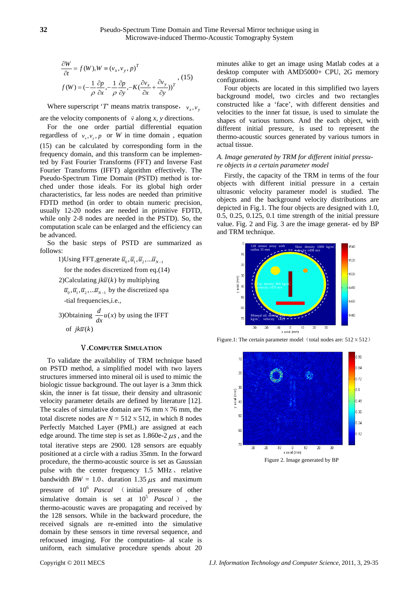$$
\frac{\partial W}{\partial t} = f(W), W \equiv (v_x, v_y, p)^T
$$
  

$$
f(W) = (-\frac{1}{\rho} \frac{\partial p}{\partial x}, -\frac{1}{\rho} \frac{\partial p}{\partial y}, -K(\frac{\partial v_x}{\partial x} + \frac{\partial v_y}{\partial y}))^T
$$
, (15)

Where superscript '*T*' means matrix transpose,  $v_x, v_y$ are the velocity components of  $\vec{v}$  along *x*, *y* directions.

For the one order partial differential equation regardless of  $v_1, v_2, p$  or *W* in time domain, equation (15) can be calculated by corresponding form in the frequency domain, and this transform can be implemented by Fast Fourier Transforms (FFT) and Inverse Fast Fourier Transforms (IFFT) algorithm effectively. The Pseudo-Spectrum Time Domain (PSTD) method is torched under those ideals. For its global high order characteristics, far less nodes are needed than primitive FDTD method (in order to obtain numeric precision, usually 12-20 nodes are needed in primitive FDTD, while only 2-8 nodes are needed in the PSTD). So, the computation scale can be enlarged and the efficiency can be advanced.

So the basic steps of PSTD are summarized as follows:

1)Using FFT, generate  $\overline{u}_0$ ,  $\overline{u}_1$ ,  $\overline{u}_2$ , ...  $\overline{u}_{N-1}$ 

for the nodes discretized from eq.(14)

2)Calculating  $jk\bar{u}(k)$  by multiplying

 $\overline{u}_0, \overline{u}_1, \overline{u}_2, \dots \overline{u}_{N-1}$  by the discretized spa -tial frequencies,i.e.,

3)Obtaining 
$$
\frac{d}{dx}u(x)
$$
 by using the IFFT  
of  $jk\overline{u}(k)$ 

#### Ⅴ**.COMPUTER SIMULATION**

To validate the availability of TRM technique based on PSTD method, a simplified model with two layers structures immersed into mineral oil is used to mimic the biologic tissue background. The out layer is a 3mm thick skin, the inner is fat tissue, their density and ultrasonic velocity parameter details are defined by literature [12]. The scales of simulative domain are  $76 \text{ mm} \times 76 \text{ mm}$ , the total discrete nodes are  $N = 512 \times 512$ , in which 8 nodes Perfectly Matched Layer (PML) are assigned at each edge around. The time step is set as  $1.860e-2 \mu s$ , and the total iterative steps are 2900. 128 sensors are equably positioned at a circle with a radius 35mm. In the forward procedure, the thermo-acoustic source is set as Gaussian pulse with the center frequency 1.5 MHz、relative bandwidth  $BW = 1.0$ , duration 1.35  $\mu s$  and maximum pressure of 10<sup>6</sup> *Pascal* ( initial pressure of other simulative domain is set at  $10^5$  *Pascal* ), the thermo-acoustic waves are propagating and received by the 128 sensors. While in the backward procedure, the received signals are re-emitted into the simulative domain by these sensors in time reversal sequence, and refocused imaging. For the computation- al scale is uniform, each simulative procedure spends about 20 minutes alike to get an image using Matlab codes at a desktop computer with AMD5000+ CPU, 2G memory configurations.

Four objects are located in this simplified two layers background model, two circles and two rectangles constructed like a 'face', with different densities and velocities to the inner fat tissue, is used to simulate the shapes of various tumors. And the each object, with different initial pressure, is used to represent the thermo-acoustic sources generated by various tumors in actual tissue.

## *A. Image generated by TRM for different initial pressure objects in a certain parameter model*

Firstly, the capacity of the TRM in terms of the four objects with different initial pressure in a certain ultrasonic velocity parameter model is studied. The objects and the background velocity distributions are depicted in Fig.1. The four objects are designed with 1.0, 0.5, 0.25, 0.125, 0.1 time strength of the initial pressure value. Fig. 2 and Fig. 3 are the image generat- ed by BP and TRM technique.



Figure.1: The certain parameter model (total nodes are:  $512 \times 512$ )



Figure 2. Image generated by BP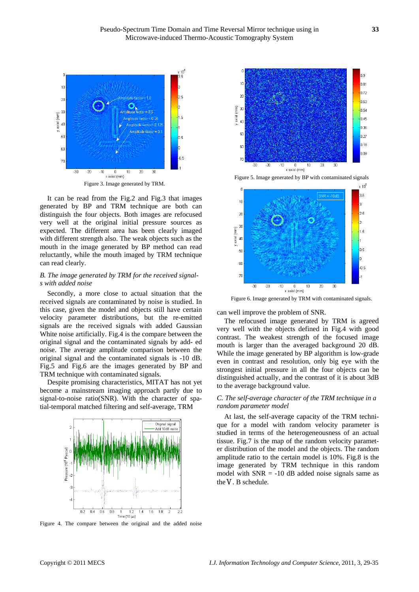



It can be read from the Fig.2 and Fig.3 that images generated by BP and TRM technique are both can distinguish the four objects. Both images are refocused very well at the original initial pressure sources as expected. The different area has been clearly imaged with different strength also. The weak objects such as the mouth in the image generated by BP method can read reluctantly, while the mouth imaged by TRM technique can read clearly.

## *B. The image generated by TRM for the received signals with added noise*

Secondly, a more close to actual situation that the received signals are contaminated by noise is studied. In this case, given the model and objects still have certain velocity parameter distributions, but the re-emitted signals are the received signals with added Gaussian White noise artificially. Fig.4 is the compare between the original signal and the contaminated signals by add- ed noise. The average amplitude comparison between the original signal and the contaminated signals is -10 dB. Fig.5 and Fig.6 are the images generated by BP and TRM technique with contaminated signals.

Despite promising characteristics, MITAT has not yet become a mainstream imaging approach partly due to signal-to-noise ratio(SNR). With the character of spatial-temporal matched filtering and self-average, TRM



Figure 4. The compare between the original and the added noise





Figure 6. Image generated by TRM with contaminated signals.

can well improve the problem of SNR.

The refocused image generated by TRM is agreed very well with the objects defined in Fig.4 with good contrast. The weakest strength of the focused image mouth is larger than the averaged background 20 dB. While the image generated by BP algorithm is low-grade even in contrast and resolution, only big eye with the strongest initial pressure in all the four objects can be distinguished actually, and the contrast of it is about 3dB to the average background value.

## *C. The self-average character of the TRM technique in a random parameter model*

At last, the self-average capacity of the TRM technique for a model with random velocity parameter is studied in terms of the heterogeneousness of an actual tissue. Fig.7 is the map of the random velocity parameter distribution of the model and the objects. The random amplitude ratio to the certain model is 10%. Fig.8 is the image generated by TRM technique in this random model with  $SNR = -10$  dB added noise signals same as the V. B schedule.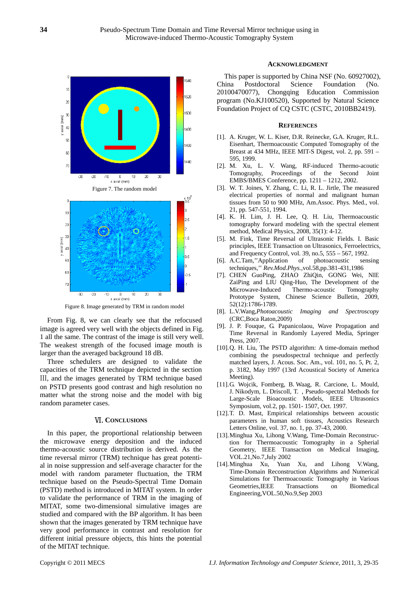

Figure 8. Image generated by TRM in random model

From Fig. 8, we can clearly see that the refocused image is agreed very well with the objects defined in Fig. 1 all the same. The contrast of the image is still very well. The weakest strength of the focused image mouth is larger than the averaged background 18 dB.

Three schedulers are designed to validate the capacities of the TRM technique depicted in the section Ⅲ, and the images generated by TRM technique based on PSTD presents good contrast and high resolution no matter what the strong noise and the model with big random parameter cases.

## Ⅵ.**CONCLUSIONS**

In this paper, the proportional relationship between the microwave energy deposition and the induced thermo-acoustic source distribution is derived. As the time reversal mirror (TRM) technique has great potential in noise suppression and self-average character for the model with random parameter fluctuation, the TRM technique based on the Pseudo-Spectral Time Domain (PSTD) method is introduced in MITAT system. In order to validate the performance of TRM in the imaging of MITAT, some two-dimensional simulative images are studied and compared with the BP algorithm. It has been shown that the images generated by TRM technique have very good performance in contrast and resolution for different initial pressure objects, this hints the potential of the MITAT technique.

## **ACKNOWLEDGMENT**

This paper is supported by China NSF (No. 60927002), China Postdoctoral Science Foundation (No. 20100470077), Chongqing Education Commission program (No.KJ100520), Supported by Natural Science Foundation Project of CQ CSTC (CSTC, 2010BB2419).

#### **REFERENCES**

- [1]. A. Kruger, W. L. Kiser, D.R. Reinecke, G.A. Kruger, R.L. Eisenhart, Thermoacoustic Computed Tomography of the Breast at 434 MHz, IEEE MIT-S Digest, vol. 2, pp. 591 – 595, 1999.
- [2]. M. Xu, L. V. Wang, RF-induced Thermo-acoutic Tomography, Proceedings of the Second Joint EMBS/BMES Conference, pp. 1211 – 1212, 2002.
- [3]. W. T. Joines, Y. Zhang, C. Li, R. L. Jirtle, The measured electrical properties of normal and malignant human tissues from 50 to 900 MHz, Am.Assoc. Phys. Med., vol. 21, pp. 547-551, 1994.
- [4]. K. H. Lim, J. H. Lee, Q. H. Liu, Thermoacoustic tomography forward modeling with the spectral element method, Medical Physics, 2008, 35(1): 4-12.
- [5]. M. Fink, Time Reversal of Ultrasonic Fields. I. Basic principles, IEEE Transaction on Ultrasonics, Ferroelectrics, and Frequency Control, vol. 39, no.5, 555 – 567, 1992.
- [6]. A.C.Tam,''Application of photoacoustic sensing techniques,'' *Rev.Mod.Phys.*,vol.58,pp.381-431,1986
- [7]. CHEN GuoPing, ZHAO ZhiQin, GONG Wei, NIE ZaiPing and LIU Qing-Huo, The Development of the Microwave-Induced Thermo-acoustic Tomography Prototype System, Chinese Science Bulletin, 2009, 52(12):1786-1789.
- [8]. L.V.Wang,*Photoacoustic Imaging and Spectroscopy*  (CRC,Boca Raton,2009)
- [9]. J. P. Fouque, G. Papanicolaou, Wave Propagation and Time Reversal in Randomly Layered Media, Springer Press, 2007.
- [10].Q. H. Liu, The PSTD algorithm: A time-domain method combining the pseudospectral technique and perfectly matched layers, J. Acous. Soc. Am., vol. 101, no. 5, Pt. 2, p. 3182, May 1997 (13rd Acoustical Society of America Meeting).
- [11].G. Wojcik, Fomberg, B. Waag, R. Carcione, L. Mould, J. Nikodym, L. Driscoll, T. , Pseudo-spectral Methods for Large-Scale Bioacoustic Models, IEEE Ultrasonics Symposium, vol.2, pp. 1501- 1507, Oct. 1997.
- [12].T. D. Mast, Empirical relationships between acoustic parameters in human soft tissues, Acoustics Research Letters Online, vol. 37, no. 1, pp. 37-43, 2000.
- [13].Minghua Xu, Lihong V.Wang, Time-Domain Reconstruction for Thermoacoustic Tomography in a Spherial Geometry, IEEE Transaction on Medical Imaging, VOL.21,No.7,July 2002
- [14].Minghua Xu, Yuan Xu, and Lihong V.Wang, Time-Domain Reconstruction Algorithms and Numerical Simulations for Thermoacoustic Tomography in Various Geometries,IEEE Transactions on Biomedical Engineering,VOL.50,No.9,Sep 2003